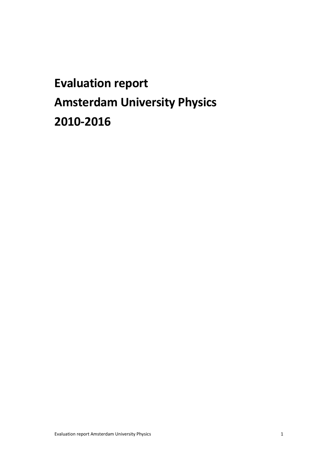# **Evaluation report Amsterdam University Physics 2010-2016**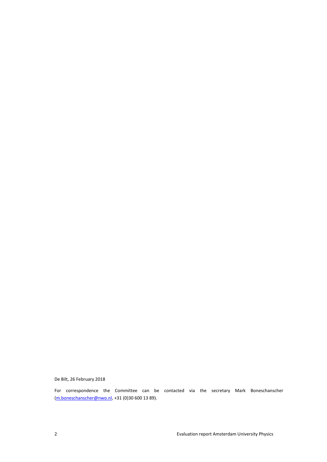De Bilt, 26 February 2018

For correspondence the Committee can be contacted via the secretary Mark Boneschanscher [\(m.boneschanscher@nwo.nl,](mailto:m.boneschanscher@nwo.nl) +31 (0)30 600 13 89).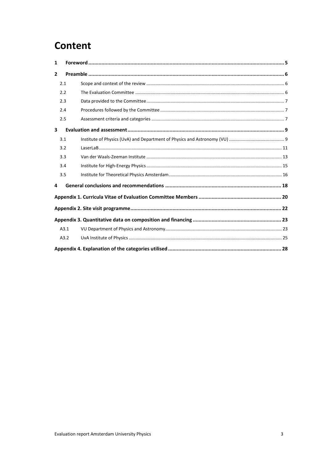### **Content**

| $\mathbf{1}$ |      |  |  |  |  |  |
|--------------|------|--|--|--|--|--|
| 2            |      |  |  |  |  |  |
|              | 2.1  |  |  |  |  |  |
|              | 2.2  |  |  |  |  |  |
|              | 2.3  |  |  |  |  |  |
|              | 2.4  |  |  |  |  |  |
|              | 2.5  |  |  |  |  |  |
| 3            |      |  |  |  |  |  |
|              | 3.1  |  |  |  |  |  |
|              | 3.2  |  |  |  |  |  |
|              | 3.3  |  |  |  |  |  |
|              | 3.4  |  |  |  |  |  |
|              | 3.5  |  |  |  |  |  |
| 4            |      |  |  |  |  |  |
|              |      |  |  |  |  |  |
|              |      |  |  |  |  |  |
|              |      |  |  |  |  |  |
|              | A3.1 |  |  |  |  |  |
|              | A3.2 |  |  |  |  |  |
|              |      |  |  |  |  |  |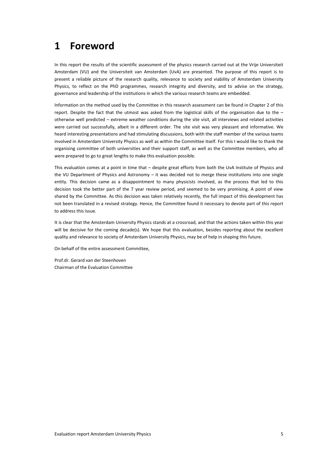### <span id="page-4-0"></span>**1 Foreword**

In this report the results of the scientific assessment of the physics research carried out at the Vrije Universiteit Amsterdam (VU) and the Universiteit van Amsterdam (UvA) are presented. The purpose of this report is to present a reliable picture of the research quality, relevance to society and viability of Amsterdam University Physics, to reflect on the PhD programmes, research integrity and diversity, and to advise on the strategy, governance and leadership of the institutions in which the various research teams are embedded.

Information on the method used by the Committee in this research assessment can be found in Chapter 2 of this report. Despite the fact that the utmost was asked from the logistical skills of the organisation due to the  $$ otherwise well predicted – extreme weather conditions during the site visit, all interviews and related activities were carried out successfully, albeit in a different order. The site visit was very pleasant and informative. We heard interesting presentations and had stimulating discussions, both with the staff member of the various teams involved in Amsterdam University Physics as well as within the Committee itself. For this I would like to thank the organising committee of both universities and their support staff, as well as the Committee members, who all were prepared to go to great lengths to make this evaluation possible.

This evaluation comes at a point in time that – despite great efforts from both the UvA Institute of Physics and the VU Department of Physics and Astronomy – it was decided not to merge these institutions into one single entity. This decision came as a disappointment to many physicists involved, as the process that led to this decision took the better part of the 7 year review period, and seemed to be very promising. A point of view shared by the Committee. As this decision was taken relatively recently, the full impact of this development has not been translated in a revised strategy. Hence, the Committee found it necessary to devote part of this report to address this issue.

It is clear that the Amsterdam University Physics stands at a crossroad, and that the actions taken within this year will be decisive for the coming decade(s). We hope that this evaluation, besides reporting about the excellent quality and relevance to society of Amsterdam University Physics, may be of help in shaping this future.

On behalf of the entire assessment Committee,

Prof.dr. Gerard van der Steenhoven Chairman of the Evaluation Committee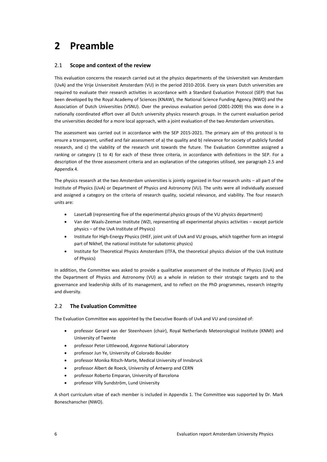### <span id="page-5-0"></span>**2 Preamble**

#### <span id="page-5-1"></span>2.1 **Scope and context of the review**

This evaluation concerns the research carried out at the physics departments of the Universiteit van Amsterdam (UvA) and the Vrije Universiteit Amsterdam (VU) in the period 2010-2016. Every six years Dutch universities are required to evaluate their research activities in accordance with a Standard Evaluation Protocol (SEP) that has been developed by the Royal Academy of Sciences (KNAW), the National Science Funding Agency (NWO) and the Association of Dutch Universities (VSNU). Over the previous evaluation period (2001-2009) this was done in a nationally coordinated effort over all Dutch university physics research groups. In the current evaluation period the universities decided for a more local approach, with a joint evaluation of the two Amsterdam universities.

The assessment was carried out in accordance with the SEP 2015-2021. The primary aim of this protocol is to ensure a transparent, unified and fair assessment of a) the quality and b) relevance for society of publicly funded research, and c) the viability of the research unit towards the future. The Evaluation Committee assigned a ranking or category (1 to 4) for each of these three criteria, in accordance with definitions in the SEP. For a description of the three assessment criteria and an explanation of the categories utilised, see paragraph [2.5](#page-6-2) and Appendix 4.

The physics research at the two Amsterdam universities is jointly organized in four research units – all part of the Institute of Physics (UvA) or Department of Physics and Astronomy (VU). The units were all individually assessed and assigned a category on the criteria of research quality, societal relevance, and viability. The four research units are:

- LaserLaB (representing five of the experimental physics groups of the VU physics department)
- Van der Waals-Zeeman Institute (WZI, representing all experimental physics activities except particle physics – of the UvA Institute of Physics)
- Institute for High-Energy Physics (IHEF, joint unit of UvA and VU groups, which together form an integral part of Nikhef, the national institute for subatomic physics)
- Institute for Theoretical Physics Amsterdam (ITFA, the theoretical physics division of the UvA Institute of Physics)

In addition, the Committee was asked to provide a qualitative assessment of the Institute of Physics (UvA) and the Department of Physics and Astronomy (VU) as a whole in relation to their strategic targets and to the governance and leadership skills of its management, and to reflect on the PhD programmes, research integrity and diversity.

#### <span id="page-5-2"></span>2.2 **The Evaluation Committee**

The Evaluation Committee was appointed by the Executive Boards of UvA and VU and consisted of:

- professor Gerard van der Steenhoven (chair), Royal Netherlands Meteorological Institute (KNMI) and University of Twente
- professor Peter Littlewood, Argonne National Laboratory
- professor Jun Ye, University of Colorado Boulder
- professor Monika Ritsch-Marte, Medical University of Innsbruck
- professor Albert de Roeck, University of Antwerp and CERN
- professor Roberto Emparan, University of Barcelona
- professor Villy Sundström, Lund University

A short curriculum vitae of each member is included in Appendix 1. The Committee was supported by Dr. Mark Boneschanscher (NWO).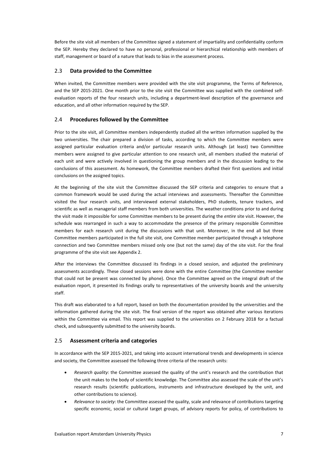Before the site visit all members of the Committee signed a statement of impartiality and confidentiality conform the SEP. Hereby they declared to have no personal, professional or hierarchical relationship with members of staff, management or board of a nature that leads to bias in the assessment process.

#### <span id="page-6-0"></span>2.3 **Data provided to the Committee**

When invited, the Committee members were provided with the site visit programme, the Terms of Reference, and the SEP 2015-2021. One month prior to the site visit the Committee was supplied with the combined selfevaluation reports of the four research units, including a department-level description of the governance and education, and all other information required by the SEP.

#### <span id="page-6-1"></span>2.4 **Procedures followed by the Committee**

Prior to the site visit, all Committee members independently studied all the written information supplied by the two universities. The chair prepared a division of tasks, according to which the Committee members were assigned particular evaluation criteria and/or particular research units. Although (at least) two Committee members were assigned to give particular attention to one research unit, all members studied the material of each unit and were actively involved in questioning the group members and in the discussion leading to the conclusions of this assessment. As homework, the Committee members drafted their first questions and initial conclusions on the assigned topics.

At the beginning of the site visit the Committee discussed the SEP criteria and categories to ensure that a common framework would be used during the actual interviews and assessments. Thereafter the Committee visited the four research units, and interviewed external stakeholders, PhD students, tenure trackers, and scientific as well as managerial staff members from both universities. The weather conditions prior to and during the visit made it impossible for some Committee members to be present during the *entire* site visit. However, the schedule was rearranged in such a way to accommodate the presence of the primary responsible Committee members for each research unit during the discussions with that unit. Moreover, in the end all but three Committee members participated in the full site visit, one Committee member participated through a telephone connection and two Committee members missed only one (but not the same) day of the site visit. For the final programme of the site visit see Appendix 2.

After the interviews the Committee discussed its findings in a closed session, and adjusted the preliminary assessments accordingly. These closed sessions were done with the entire Committee (the Committee member that could not be present was connected by phone). Once the Committee agreed on the integral draft of the evaluation report, it presented its findings orally to representatives of the university boards and the university staff.

This draft was elaborated to a full report, based on both the documentation provided by the universities and the information gathered during the site visit. The final version of the report was obtained after various iterations within the Committee via email. This report was supplied to the universities on 2 February 2018 for a factual check, and subsequently submitted to the university boards.

#### <span id="page-6-2"></span>2.5 **Assessment criteria and categories**

In accordance with the SEP 2015-2021, and taking into account international trends and developments in science and society, the Committee assessed the following three criteria of the research units:

- *Research quality*: the Committee assessed the quality of the unit's research and the contribution that the unit makes to the body of scientific knowledge. The Committee also assessed the scale of the unit's research results (scientific publications, instruments and infrastructure developed by the unit, and other contributions to science).
- *Relevance to society*: the Committee assessed the quality, scale and relevance of contributions targeting specific economic, social or cultural target groups, of advisory reports for policy, of contributions to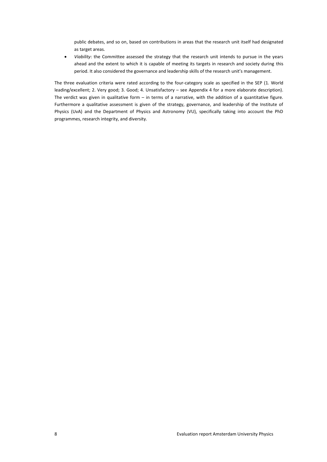public debates, and so on, based on contributions in areas that the research unit itself had designated as target areas.

 *Viability*: the Committee assessed the strategy that the research unit intends to pursue in the years ahead and the extent to which it is capable of meeting its targets in research and society during this period. It also considered the governance and leadership skills of the research unit's management.

The three evaluation criteria were rated according to the four-category scale as specified in the SEP (1. World leading/excellent; 2. Very good; 3. Good; 4. Unsatisfactory – see Appendix 4 for a more elaborate description). The verdict was given in qualitative form  $-$  in terms of a narrative, with the addition of a quantitative figure. Furthermore a qualitative assessment is given of the strategy, governance, and leadership of the Institute of Physics (UvA) and the Department of Physics and Astronomy (VU), specifically taking into account the PhD programmes, research integrity, and diversity.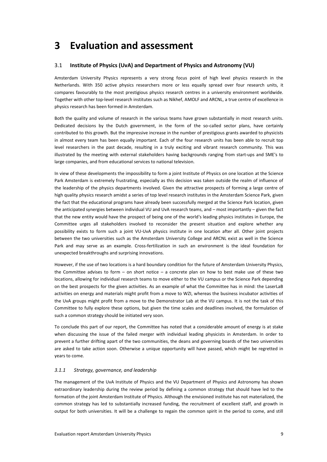### <span id="page-8-0"></span>**3 Evaluation and assessment**

#### <span id="page-8-1"></span>3.1 **Institute of Physics (UvA) and Department of Physics and Astronomy (VU)**

Amsterdam University Physics represents a very strong focus point of high level physics research in the Netherlands. With 350 active physics researchers more or less equally spread over four research units, it compares favourably to the most prestigious physics research centres in a university environment worldwide. Together with other top-level research institutes such as Nikhef, AMOLF and ARCNL, a true centre of excellence in physics research has been formed in Amsterdam.

Both the quality and volume of research in the various teams have grown substantially in most research units. Dedicated decisions by the Dutch government, in the form of the so-called sector plans, have certainly contributed to this growth. But the impressive increase in the number of prestigious grants awarded to physicists in almost every team has been equally important. Each of the four research units has been able to recruit top level researchers in the past decade, resulting in a truly exciting and vibrant research community. This was illustrated by the meeting with external stakeholders having backgrounds ranging from start-ups and SME's to large companies, and from educational services to national television.

In view of these developments the impossibility to form a joint Institute of Physics on one location at the Science Park Amsterdam is extremely frustrating, especially as this decision was taken outside the realm of influence of the leadership of the physics departments involved. Given the attractive prospects of forming a large centre of high quality physics research amidst a series of top level research institutes in the Amsterdam Science Park, given the fact that the educational programs have already been successfully merged at the Science Park location, given the anticipated synergies between individual VU and UvA research teams, and – most importantly – given the fact that the new entity would have the prospect of being one of the world's leading physics institutes in Europe, the Committee urges all stakeholders involved to reconsider the present situation and explore whether any possibility exists to form such a joint VU-UvA physics institute in one location after all. Other joint projects between the two universities such as the Amsterdam University College and ARCNL exist as well in the Science Park and may serve as an example. Cross-fertilization in such an environment is the ideal foundation for unexpected breakthroughs and surprising innovations.

However, if the use of two locations is a hard boundary condition for the future of Amsterdam University Physics, the Committee advises to form  $-$  on short notice  $-$  a concrete plan on how to best make use of these two locations, allowing for individual research teams to move either to the VU campus or the Science Park depending on the best prospects for the given activities. As an example of what the Committee has in mind: the LaserLaB activities on energy and materials might profit from a move to WZI, whereas the business incubator activities of the UvA groups might profit from a move to the Demonstrator Lab at the VU campus. It is not the task of this Committee to fully explore these options, but given the time scales and deadlines involved, the formulation of such a common strategy should be initiated very soon.

To conclude this part of our report, the Committee has noted that a considerable amount of energy is at stake when discussing the issue of the failed merger with individual leading physicists in Amsterdam. In order to prevent a further drifting apart of the two communities, the deans and governing boards of the two universities are asked to take action soon. Otherwise a unique opportunity will have passed, which might be regretted in years to come.

#### *3.1.1 Strategy, governance, and leadership*

The management of the UvA Institute of Physics and the VU Department of Physics and Astronomy has shown extraordinary leadership during the review period by defining a common strategy that should have led to the formation of the joint Amsterdam Institute of Physics. Although the envisioned institute has not materialized, the common strategy has led to substantially increased funding, the recruitment of excellent staff, and growth in output for both universities. It will be a challenge to regain the common spirit in the period to come, and still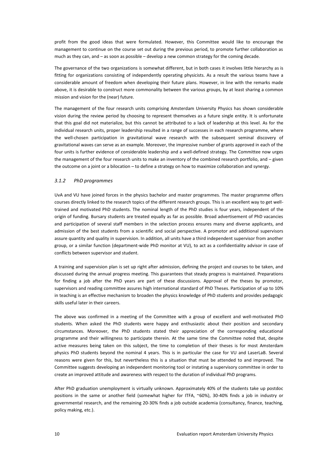profit from the good ideas that were formulated. However, this Committee would like to encourage the management to continue on the course set out during the previous period, to promote further collaboration as much as they can, and – as soon as possible – develop a new common strategy for the coming decade.

The governance of the two organizations is somewhat different, but in both cases it involves little hierarchy as is fitting for organizations consisting of independently operating physicists. As a result the various teams have a considerable amount of freedom when developing their future plans. However, in line with the remarks made above, it is desirable to construct more commonality between the various groups, by at least sharing a common mission and vision for the (near) future.

The management of the four research units comprising Amsterdam University Physics has shown considerable vision during the review period by choosing to represent themselves as a future single entity. It is unfortunate that this goal did not materialize, but this cannot be attributed to a lack of leadership at this level. As for the individual research units, proper leadership resulted in a range of successes in each research programme, where the well-chosen participation in gravitational wave research with the subsequent seminal discovery of gravitational waves can serve as an example. Moreover, the impressive number of grants approved in each of the four units is further evidence of considerable leadership and a well-defined strategy. The Committee now urges the management of the four research units to make an inventory of the combined research portfolio, and – given the outcome on a joint or a bilocation – to define a strategy on how to maximize collaboration and synergy.

#### *3.1.2 PhD programmes*

UvA and VU have joined forces in the physics bachelor and master programmes. The master programme offers courses directly linked to the research topics of the different research groups. This is an excellent way to get welltrained and motivated PhD students. The nominal length of the PhD studies is four years, independent of the origin of funding. Bursary students are treated equally as far as possible. Broad advertisement of PhD vacancies and participation of several staff members in the selection process ensures many and diverse applicants, and admission of the best students from a scientific and social perspective. A promotor and additional supervisors assure quantity and quality in supervision. In addition, all units have a third independent supervisor from another group, or a similar function (department-wide PhD monitor at VU), to act as a confidentiality advisor in case of conflicts between supervisor and student.

A training and supervision plan is set up right after admission, defining the project and courses to be taken, and discussed during the annual progress meeting. This guarantees that steady progress is maintained. Preparations for finding a job after the PhD years are part of these discussions. Approval of the theses by promotor, supervisors and reading committee assures high international standard of PhD Theses. Participation of up to 10% in teaching is an effective mechanism to broaden the physics knowledge of PhD students and provides pedagogic skills useful later in their careers.

The above was confirmed in a meeting of the Committee with a group of excellent and well-motivated PhD students. When asked the PhD students were happy and enthusiastic about their position and secondary circumstances. Moreover, the PhD students stated their appreciation of the corresponding educational programme and their willingness to participate therein. At the same time the Committee noted that, despite active measures being taken on this subject, the time to completion of their theses is for most Amsterdam physics PhD students beyond the nominal 4 years. This is in particular the case for VU and LaserLaB. Several reasons were given for this, but nevertheless this is a situation that must be attended to and improved. The Committee suggests developing an independent monitoring tool or instating a supervisory committee in order to create an improved attitude and awareness with respect to the duration of individual PhD programs.

After PhD graduation unemployment is virtually unknown. Approximately 40% of the students take up postdoc positions in the same or another field (somewhat higher for ITFA, ~60%), 30-40% finds a job in industry or governmental research, and the remaining 20-30% finds a job outside academia (consultancy, finance, teaching, policy making, etc.).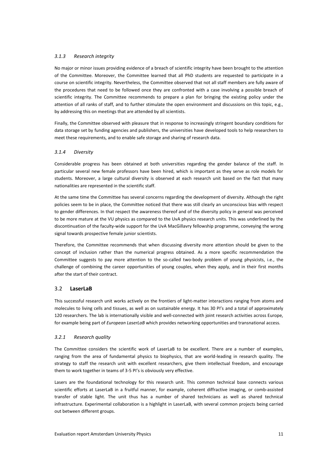#### *3.1.3 Research integrity*

No major or minor issues providing evidence of a breach of scientific integrity have been brought to the attention of the Committee. Moreover, the Committee learned that all PhD students are requested to participate in a course on scientific integrity. Nevertheless, the Committee observed that not all staff members are fully aware of the procedures that need to be followed once they are confronted with a case involving a possible breach of scientific integrity. The Committee recommends to prepare a plan for bringing the existing policy under the attention of all ranks of staff, and to further stimulate the open environment and discussions on this topic, e.g., by addressing this on meetings that are attended by all scientists.

Finally, the Committee observed with pleasure that in response to increasingly stringent boundary conditions for data storage set by funding agencies and publishers, the universities have developed tools to help researchers to meet these requirements, and to enable safe storage and sharing of research data.

#### *3.1.4 Diversity*

Considerable progress has been obtained at both universities regarding the gender balance of the staff. In particular several new female professors have been hired, which is important as they serve as role models for students. Moreover, a large cultural diversity is observed at each research unit based on the fact that many nationalities are represented in the scientific staff.

At the same time the Committee has several concerns regarding the development of diversity. Although the right policies seem to be in place, the Committee noticed that there was still clearly an unconscious bias with respect to gender differences. In that respect the awareness thereof and of the diversity policy in general was perceived to be more mature at the VU physics as compared to the UvA physics research units. This was underlined by the discontinuation of the faculty-wide support for the UvA MacGillavry fellowship programme, conveying the wrong signal towards prospective female junior scientists.

Therefore, the Committee recommends that when discussing diversity more attention should be given to the concept of inclusion rather than the numerical progress obtained. As a more specific recommendation the Committee suggests to pay more attention to the so-called two-body problem of young physicists, i.e., the challenge of combining the career opportunities of young couples, when they apply, and in their first months after the start of their contract.

#### <span id="page-10-0"></span>3.2 **LaserLaB**

This successful research unit works actively on the frontiers of light-matter interactions ranging from atoms and molecules to living cells and tissues, as well as on sustainable energy. It has 30 PI's and a total of approximately 120 researchers. The lab is internationally visible and well-connected with joint research activities across Europe, for example being part of *European LaserLaB* which provides networking opportunities and transnational access.

#### *3.2.1 Research quality*

The Committee considers the scientific work of LaserLaB to be excellent. There are a number of examples, ranging from the area of fundamental physics to biophysics, that are world-leading in research quality. The strategy to staff the research unit with excellent researchers, give them intellectual freedom, and encourage them to work together in teams of 3-5 PI's is obviously very effective.

Lasers are the foundational technology for this research unit. This common technical base connects various scientific efforts at LaserLaB in a fruitful manner, for example, coherent diffractive imaging, or comb-assisted transfer of stable light. The unit thus has a number of shared technicians as well as shared technical infrastructure. Experimental collaboration is a highlight in LaserLaB, with several common projects being carried out between different groups.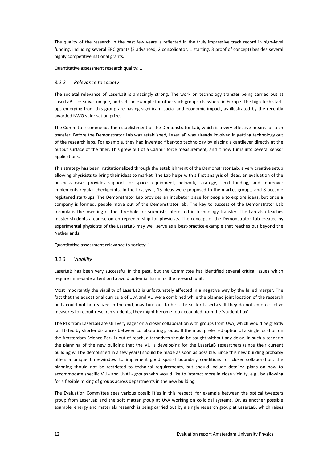The quality of the research in the past few years is reflected in the truly impressive track record in high-level funding, including several ERC grants (3 advanced, 2 consolidator, 1 starting, 3 proof of concept) besides several highly competitive national grants.

Quantitative assessment research quality: 1

#### *3.2.2 Relevance to society*

The societal relevance of LaserLaB is amazingly strong. The work on technology transfer being carried out at LaserLaB is creative, unique, and sets an example for other such groups elsewhere in Europe. The high-tech startups emerging from this group are having significant social and economic impact, as illustrated by the recently awarded NWO valorisation prize.

The Committee commends the establishment of the Demonstrator Lab, which is a very effective means for tech transfer. Before the Demonstrator Lab was established, LaserLaB was already involved in getting technology out of the research labs. For example, they had invented fiber-top technology by placing a cantilever directly at the output surface of the fiber. This grew out of a Casimir force measurement, and it now turns into several sensor applications.

This strategy has been institutionalized through the establishment of the Demonstrator Lab, a very creative setup allowing physicists to bring their ideas to market. The Lab helps with a first analysis of ideas, an evaluation of the business case, provides support for space, equipment, network, strategy, seed funding, and moreover implements regular checkpoints. In the first year, 15 ideas were proposed to the market groups, and 8 became registered start-ups. The Demonstrator Lab provides an incubator place for people to explore ideas, but once a company is formed, people move out of the Demonstrator lab. The key to success of the Demonstrator Lab formula is the lowering of the threshold for scientists interested in technology transfer. The Lab also teaches master students a course on entrepreneurship for physicists. The concept of the Demonstrator Lab created by experimental physicists of the LaserLaB may well serve as a best-practice-example that reaches out beyond the Netherlands.

Quantitative assessment relevance to society: 1

#### *3.2.3 Viability*

LaserLaB has been very successful in the past, but the Committee has identified several critical issues which require immediate attention to avoid potential harm for the research unit.

Most importantly the viability of LaserLaB is unfortunately affected in a negative way by the failed merger. The fact that the educational curricula of UvA and VU were combined while the planned joint location of the research units could not be realized in the end, may turn out to be a threat for LaserLaB. If they do not enforce active measures to recruit research students, they might become too decoupled from the 'student flux'.

The PI's from LaserLaB are still very eager on a closer collaboration with groups from UvA, which would be greatly facilitated by shorter distances between collaborating groups. If the most preferred option of a single location on the Amsterdam Science Park is out of reach, alternatives should be sought without any delay. In such a scenario the planning of the new building that the VU is developing for the LaserLaB researchers (since their current building will be demolished in a few years) should be made as soon as possible. Since this new building probably offers a unique time-window to implement good spatial boundary conditions for closer collaboration, the planning should not be restricted to technical requirements, but should include detailed plans on how to accommodate specific VU - and UvA! - groups who would like to interact more in close vicinity, e.g., by allowing for a flexible mixing of groups across departments in the new building.

The Evaluation Committee sees various possibilities in this respect, for example between the optical tweezers group from LaserLaB and the soft matter group at UvA working on colloidal systems. Or, as another possible example, energy and materials research is being carried out by a single research group at LaserLaB, which raises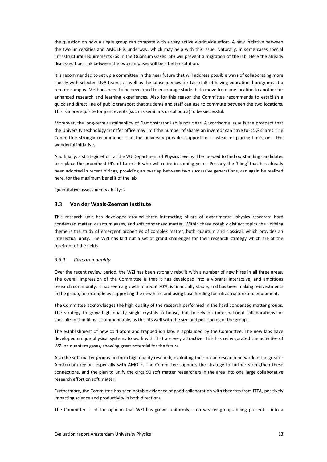the question on how a single group can compete with a very active worldwide effort. A new initiative between the two universities and AMOLF is underway, which may help with this issue. Naturally, in some cases special infrastructural requirements (as in the Quantum Gases lab) will prevent a migration of the lab. Here the already discussed fiber link between the two campuses will be a better solution.

It is recommended to set up a committee in the near future that will address possible ways of collaborating more closely with selected UvA teams, as well as the consequences for LaserLaB of having educational programs at a remote campus. Methods need to be developed to encourage students to move from one location to another for enhanced research and learning experiences. Also for this reason the Committee recommends to establish a quick and direct line of public transport that students and staff can use to commute between the two locations. This is a prerequisite for joint events (such as seminars or colloquia) to be successful.

Moreover, the long-term sustainability of Demonstrator Lab is not clear. A worrisome issue is the prospect that the University technology transfer office may limit the number of shares an inventor can have to < 5% shares. The Committee strongly recommends that the university provides support to - instead of placing limits on - this wonderful initiative.

And finally, a strategic effort at the VU Department of Physics level will be needed to find outstanding candidates to replace the prominent PI's of LaserLaB who will retire in coming years. Possibly the 'tiling' that has already been adopted in recent hirings, providing an overlap between two successive generations, can again be realized here, for the maximum benefit of the lab.

Quantitative assessment viability: 2

#### <span id="page-12-0"></span>3.3 **Van der Waals-Zeeman Institute**

This research unit has developed around three interacting pillars of experimental physics research: hard condensed matter, quantum gases, and soft condensed matter. Within these notably distinct topics the unifying theme is the study of emergent properties of complex matter, both quantum and classical, which provides an intellectual unity. The WZI has laid out a set of grand challenges for their research strategy which are at the forefront of the fields.

#### *3.3.1 Research quality*

Over the recent review period, the WZI has been strongly rebuilt with a number of new hires in all three areas. The overall impression of the Committee is that it has developed into a vibrant, interactive, and ambitious research community. It has seen a growth of about 70%, is financially stable, and has been making reinvestments in the group, for example by supporting the new hires and using base funding for infrastructure and equipment.

The Committee acknowledges the high quality of the research performed in the hard condensed matter groups. The strategy to grow high quality single crystals in house, but to rely on (inter)national collaborations for specialized thin films is commendable, as this fits well with the size and positioning of the groups.

The establishment of new cold atom and trapped ion labs is applauded by the Committee. The new labs have developed unique physical systems to work with that are very attractive. This has reinvigorated the activities of WZI on quantum gases, showing great potential for the future.

Also the soft matter groups perform high quality research, exploiting their broad research network in the greater Amsterdam region, especially with AMOLF. The Committee supports the strategy to further strengthen these connections, and the plan to unify the circa 90 soft matter researchers in the area into one large collaborative research effort on soft matter.

Furthermore, the Committee has seen notable evidence of good collaboration with theorists from ITFA, positively impacting science and productivity in both directions.

The Committee is of the opinion that WZI has grown uniformly – no weaker groups being present – into a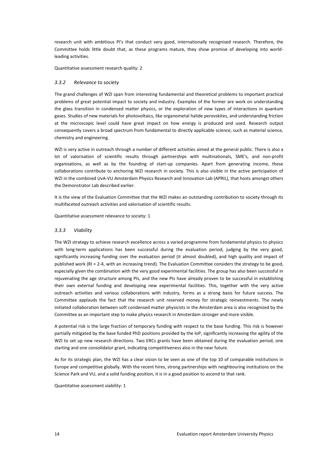research unit with ambitious PI's that conduct very good, internationally recognised research. Therefore, the Committee holds little doubt that, as these programs mature, they show promise of developing into worldleading activities.

Quantitative assessment research quality: 2

#### *3.3.2 Relevance to society*

The grand challenges of WZI span from interesting fundamental and theoretical problems to important practical problems of great potential impact to society and industry. Examples of the former are work on understanding the glass transition in condensed matter physics, or the exploration of new types of interactions in quantum gases. Studies of new materials for photovoltaics, like organometal halide perovskites, and understanding friction at the microscopic level could have great impact on how energy is produced and used. Research output consequently covers a broad spectrum from fundamental to directly applicable science, such as material science, chemistry and engineering.

WZI is very active in outreach through a number of different activities aimed at the general public. There is also a lot of valorisation of scientific results through partnerships with multinationals, SME's, and non-profit organisations, as well as by the founding of start-up companies. Apart from generating income, these collaborations contribute to anchoring WZI research in society. This is also visible in the active participation of WZI in the combined UvA-VU Amsterdam Physics Research and Innovation Lab (APRIL), that hosts amongst others the Demonstrator Lab described earlier.

It is the view of the Evaluation Committee that the WZI makes an outstanding contribution to society through its multifaceted outreach activities and valorisation of scientific results.

Quantitative assessment relevance to society: 1

#### *3.3.3 Viability*

The WZI strategy to achieve research excellence across a varied programme from fundamental physics to physics with long-term applications has been successful during the evaluation period, judging by the very good, significantly increasing funding over the evaluation period (it almost doubled), and high quality and impact of published work (RI = 2-4, with an increasing trend). The Evaluation Committee considers the strategy to be good, especially given the combination with the very good experimental facilities. The group has also been successful in rejuvenating the age structure among PIs, and the new PIs have already proven to be successful in establishing their own external funding and developing new experimental facilities. This, together with the very active outreach activities and various collaborations with industry, forms as a strong basis for future success. The Committee applauds the fact that the research unit reserved money for strategic reinvestments. The newly initiated collaboration between soft condensed matter physicists in the Amsterdam area is also recognized by the Committee as an important step to make physics research in Amsterdam stronger and more visible.

A potential risk is the large fraction of temporary funding with respect to the base funding. This risk is however partially mitigated by the base funded PhD positions provided by the IoP, significantly increasing the agility of the WZI to set up new research directions. Two ERCs grants have been obtained during the evaluation period, one starting and one consolidator grant, indicating competitiveness also in the near future.

As for its strategic plan, the WZI has a clear vision to be seen as one of the top 10 of comparable institutions in Europe and competitive globally. With the recent hires, strong partnerships with neighbouring institutions on the Science Park and VU, and a solid funding position, it is in a good position to ascend to that rank.

Quantitative assessment viability: 1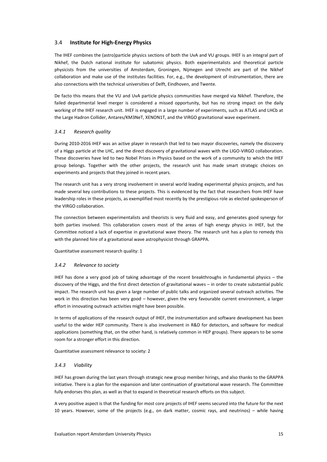#### <span id="page-14-0"></span>3.4 **Institute for High-Energy Physics**

The IHEF combines the (astro)particle physics sections of both the UvA and VU groups. IHEF is an integral part of Nikhef, the Dutch national institute for subatomic physics. Both experimentalists and theoretical particle physicists from the universities of Amsterdam, Groningen, Nijmegen and Utrecht are part of the Nikhef collaboration and make use of the institutes facilities. For, e.g., the development of instrumentation, there are also connections with the technical universities of Delft, Eindhoven, and Twente.

De facto this means that the VU and UvA particle physics communities have merged via Nikhef. Therefore, the failed departmental level merger is considered a missed opportunity, but has no strong impact on the daily working of the IHEF research unit. IHEF is engaged in a large number of experiments, such as ATLAS and LHCb at the Large Hadron Collider, Antares/KM3NeT, XENON1T, and the VIRGO gravitational wave experiment.

#### *3.4.1 Research quality*

During 2010-2016 IHEF was an active player in research that led to two mayor discoveries, namely the discovery of a Higgs particle at the LHC, and the direct discovery of gravitational waves with the LIGO-VIRGO collaboration. These discoveries have led to two Nobel Prizes in Physics based on the work of a community to which the IHEF group belongs. Together with the other projects, the research unit has made smart strategic choices on experiments and projects that they joined in recent years.

The research unit has a very strong involvement in several world leading experimental physics projects, and has made several key contributions to these projects. This is evidenced by the fact that researchers from IHEF have leadership roles in these projects, as exemplified most recently by the prestigious role as elected spokesperson of the VIRGO collaboration.

The connection between experimentalists and theorists is very fluid and easy, and generates good synergy for both parties involved. This collaboration covers most of the areas of high energy physics in IHEF, but the Committee noticed a lack of expertise in gravitational wave theory. The research unit has a plan to remedy this with the planned hire of a gravitational wave astrophysicist through GRAPPA.

Quantitative assessment research quality: 1

#### *3.4.2 Relevance to society*

IHEF has done a very good job of taking advantage of the recent breakthroughs in fundamental physics – the discovery of the Higgs, and the first direct detection of gravitational waves – in order to create substantial public impact. The research unit has given a large number of public talks and organized several outreach activities. The work in this direction has been very good – however, given the very favourable current environment, a larger effort in innovating outreach activities might have been possible.

In terms of applications of the research output of IHEF, the instrumentation and software development has been useful to the wider HEP community. There is also involvement in R&D for detectors, and software for medical applications (something that, on the other hand, is relatively common in HEP groups). There appears to be some room for a stronger effort in this direction.

Quantitative assessment relevance to society: 2

#### *3.4.3 Viability*

IHEF has grown during the last years through strategic new group member hirings, and also thanks to the GRAPPA initiative. There is a plan for the expansion and later continuation of gravitational wave research. The Committee fully endorses this plan, as well as that to expand in theoretical research efforts on this subject.

A very positive aspect is that the funding for most core projects of IHEF seems secured into the future for the next 10 years. However, some of the projects (e.g., on dark matter, cosmic rays, and neutrinos) – while having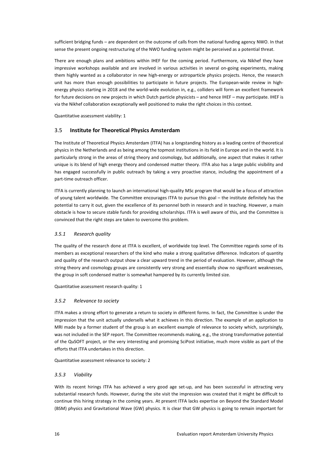sufficient bridging funds – are dependent on the outcome of calls from the national funding agency NWO. In that sense the present ongoing restructuring of the NWO funding system might be perceived as a potential threat.

There are enough plans and ambitions within IHEF for the coming period. Furthermore, via Nikhef they have impressive workshops available and are involved in various activities in several on-going experiments, making them highly wanted as a collaborator in new high-energy or astroparticle physics projects. Hence, the research unit has more than enough possibilities to participate in future projects. The European-wide review in highenergy physics starting in 2018 and the world-wide evolution in, e.g., colliders will form an excellent framework for future decisions on new projects in which Dutch particle physicists – and hence IHEF – may participate. IHEF is via the Nikhef collaboration exceptionally well positioned to make the right choices in this context.

Quantitative assessment viability: 1

#### <span id="page-15-0"></span>3.5 **Institute for Theoretical Physics Amsterdam**

The Institute of Theoretical Physics Amsterdam (ITFA) has a longstanding history as a leading centre of theoretical physics in the Netherlands and as being among the topmost institutions in its field in Europe and in the world. It is particularly strong in the areas of string theory and cosmology, but additionally, one aspect that makes it rather unique is its blend of high energy theory and condensed matter theory. ITFA also has a large public visibility and has engaged successfully in public outreach by taking a very proactive stance, including the appointment of a part-time outreach officer.

ITFA is currently planning to launch an international high-quality MSc program that would be a focus of attraction of young talent worldwide. The Committee encourages ITFA to pursue this goal – the institute definitely has the potential to carry it out, given the excellence of its personnel both in research and in teaching. However, a main obstacle is how to secure stable funds for providing scholarships. ITFA is well aware of this, and the Committee is convinced that the right steps are taken to overcome this problem.

#### *3.5.1 Research quality*

The quality of the research done at ITFA is excellent, of worldwide top level. The Committee regards some of its members as exceptional researchers of the kind who make a strong qualitative difference. Indicators of quantity and quality of the research output show a clear upward trend in the period of evaluation. However, although the string theory and cosmology groups are consistently very strong and essentially show no significant weaknesses, the group in soft condensed matter is somewhat hampered by its currently limited size.

Quantitative assessment research quality: 1

#### *3.5.2 Relevance to society*

ITFA makes a strong effort to generate a return to society in different forms. In fact, the Committee is under the impression that the unit actually undersells what it achieves in this direction. The example of an application to MRI made by a former student of the group is an excellent example of relevance to society which, surprisingly, was not included in the SEP report. The Committee recommends making, e.g., the strong transformative potential of the QuSOFT project, or the very interesting and promising SciPost initiative, much more visible as part of the efforts that ITFA undertakes in this direction.

Quantitative assessment relevance to society: 2

#### *3.5.3 Viability*

With its recent hirings ITFA has achieved a very good age set-up, and has been successful in attracting very substantial research funds. However, during the site visit the impression was created that it might be difficult to continue this hiring strategy in the coming years. At present ITFA lacks expertise on Beyond the Standard Model (BSM) physics and Gravitational Wave (GW) physics. It is clear that GW physics is going to remain important for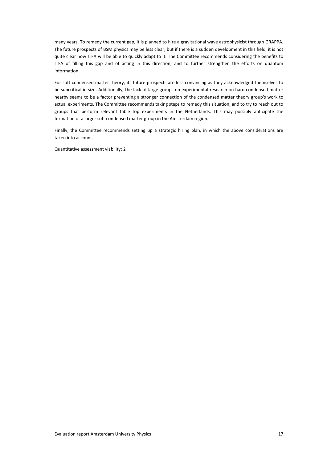many years. To remedy the current gap, it is planned to hire a gravitational wave astrophysicist through GRAPPA. The future prospects of BSM physics may be less clear, but if there is a sudden development in this field, it is not quite clear how ITFA will be able to quickly adapt to it. The Committee recommends considering the benefits to ITFA of filling this gap and of acting in this direction, and to further strengthen the efforts on quantum information.

For soft condensed matter theory, its future prospects are less convincing as they acknowledged themselves to be subcritical in size. Additionally, the lack of large groups on experimental research on hard condensed matter nearby seems to be a factor preventing a stronger connection of the condensed matter theory group's work to actual experiments. The Committee recommends taking steps to remedy this situation, and to try to reach out to groups that perform relevant table top experiments in the Netherlands. This may possibly anticipate the formation of a larger soft condensed matter group in the Amsterdam region.

Finally, the Committee recommends setting up a strategic hiring plan, in which the above considerations are taken into account.

Quantitative assessment viability: 2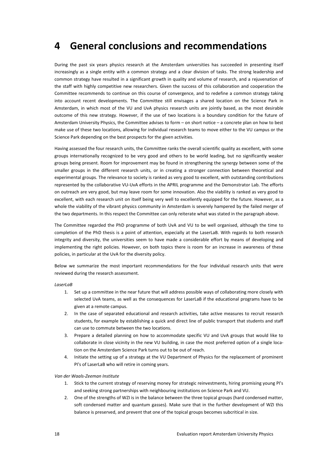### <span id="page-17-0"></span>**4 General conclusions and recommendations**

During the past six years physics research at the Amsterdam universities has succeeded in presenting itself increasingly as a single entity with a common strategy and a clear division of tasks. The strong leadership and common strategy have resulted in a significant growth in quality and volume of research, and a rejuvenation of the staff with highly competitive new researchers. Given the success of this collaboration and cooperation the Committee recommends to continue on this course of convergence, and to redefine a common strategy taking into account recent developments. The Committee still envisages a shared location on the Science Park in Amsterdam, in which most of the VU and UvA physics research units are jointly based, as the most desirable outcome of this new strategy. However, if the use of two locations is a boundary condition for the future of Amsterdam University Physics, the Committee advises to form – on short notice – a concrete plan on how to best make use of these two locations, allowing for individual research teams to move either to the VU campus or the Science Park depending on the best prospects for the given activities.

Having assessed the four research units, the Committee ranks the overall scientific quality as excellent, with some groups internationally recognized to be very good and others to be world leading, but no significantly weaker groups being present. Room for improvement may be found in strengthening the synergy between some of the smaller groups in the different research units, or in creating a stronger connection between theoretical and experimental groups. The relevance to society is ranked as very good to excellent, with outstanding contributions represented by the collaborative VU-UvA efforts in the APRIL programme and the Demonstrator Lab. The efforts on outreach are very good, but may leave room for some innovation. Also the viability is ranked as very good to excellent, with each research unit on itself being very well to excellently equipped for the future. However, as a whole the viability of the vibrant physics community in Amsterdam is severely hampered by the failed merger of the two departments. In this respect the Committee can only reiterate what was stated in the paragraph above.

The Committee regarded the PhD programme of both UvA and VU to be well organised, although the time to completion of the PhD thesis is a point of attention, especially at the LaserLaB. With regards to both research integrity and diversity, the universities seem to have made a considerable effort by means of developing and implementing the right policies. However, on both topics there is room for an increase in awareness of these policies, in particular at the UvA for the diversity policy.

Below we summarize the most important recommendations for the four individual research units that were reviewed during the research assessment.

#### *LaserLaB*

- 1. Set up a committee in the near future that will address possible ways of collaborating more closely with selected UvA teams, as well as the consequences for LaserLaB if the educational programs have to be given at a remote campus.
- 2. In the case of separated educational and research activities, take active measures to recruit research students, for example by establishing a quick and direct line of public transport that students and staff can use to commute between the two locations.
- 3. Prepare a detailed planning on how to accommodate specific VU and UvA groups that would like to collaborate in close vicinity in the new VU building, in case the most preferred option of a single location on the Amsterdam Science Park turns out to be out of reach.
- 4. Initiate the setting up of a strategy at the VU Department of Physics for the replacement of prominent PI's of LaserLaB who will retire in coming years.

#### *Van der Waals-Zeeman Institute*

- 1. Stick to the current strategy of reserving money for strategic reinvestments, hiring promising young PI's and seeking strong partnerships with neighbouring institutions on Science Park and VU.
- 2. One of the strengths of WZI is in the balance between the three topical groups (hard condensed matter, soft condensed matter and quantum gasses). Make sure that in the further development of WZI this balance is preserved, and prevent that one of the topical groups becomes subcritical in size.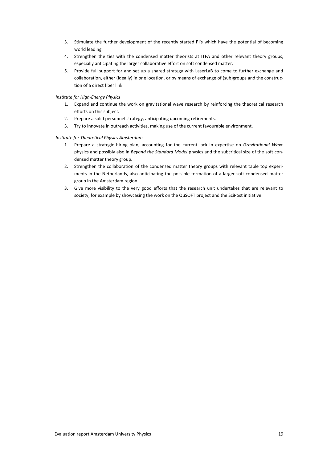- 3. Stimulate the further development of the recently started PI's which have the potential of becoming world leading.
- 4. Strengthen the ties with the condensed matter theorists at ITFA and other relevant theory groups, especially anticipating the larger collaborative effort on soft condensed matter.
- 5. Provide full support for and set up a shared strategy with LaserLaB to come to further exchange and collaboration, either (ideally) in one location, or by means of exchange of (sub)groups and the construction of a direct fiber link.

#### *Institute for High-Energy Physics*

- 1. Expand and continue the work on gravitational wave research by reinforcing the theoretical research efforts on this subject.
- 2. Prepare a solid personnel strategy, anticipating upcoming retirements.
- 3. Try to innovate in outreach activities, making use of the current favourable environment.

#### *Institute for Theoretical Physics Amsterdam*

- 1. Prepare a strategic hiring plan, accounting for the current lack in expertise on *Gravitational Wave* physics and possibly also in *Beyond the Standard Model* physics and the subcritical size of the soft condensed matter theory group.
- 2. Strengthen the collaboration of the condensed matter theory groups with relevant table top experiments in the Netherlands, also anticipating the possible formation of a larger soft condensed matter group in the Amsterdam region.
- 3. Give more visibility to the very good efforts that the research unit undertakes that are relevant to society, for example by showcasing the work on the QuSOFT project and the SciPost initiative.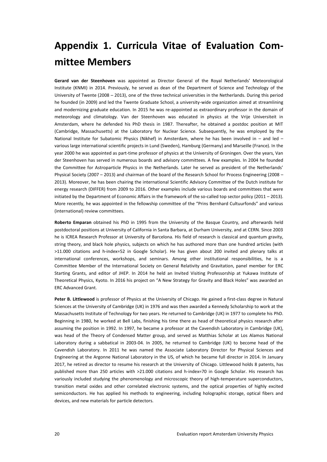# <span id="page-19-0"></span>**Appendix 1. Curricula Vitae of Evaluation Committee Members**

**Gerard van der Steenhoven** was appointed as Director General of the Royal Netherlands' Meteorological Institute (KNMI) in 2014. Previously, he served as dean of the Department of Science and Technology of the University of Twente (2008 – 2013), one of the three technical universities in the Netherlands. During this period he founded (in 2009) and led the Twente Graduate School, a university-wide organization aimed at streamlining and modernizing graduate education. In 2015 he was re-appointed as extraordinary professor in the domain of meteorology and climatology. Van der Steenhoven was educated in physics at the Vrije Universiteit in Amsterdam, where he defended his PhD thesis in 1987. Thereafter, he obtained a postdoc position at MIT (Cambridge, Massachusetts) at the Laboratory for Nuclear Science. Subsequently, he was employed by the National Institute for Subatomic Physics (Nikhef) in Amsterdam, where he has been involved in – and led – various large international scientific projects in Lund (Sweden), Hamburg (Germany) and Marseille (France). In the year 2000 he was appointed as part-time professor of physics at the University of Groningen. Over the years, Van der Steenhoven has served in numerous boards and advisory committees. A few examples. In 2004 he founded the Committee for Astroparticle Physics in the Netherlands. Later he served as president of the Netherlands' Physical Society (2007 – 2013) and chairman of the board of the Research School for Process Engineering (2008 – 2013). Moreover, he has been chairing the international Scientific Advisory Committee of the Dutch institute for energy research (DIFFER) from 2009 to 2016. Other examples include various boards and committees that were initiated by the Department of Economic Affairs in the framework of the so-called top sector policy (2011 – 2013). More recently, he was appointed in the fellowship committee of the "Prins Bernhard Cultuurfonds" and various (international) review committees.

**Roberto Emparan** obtained his PhD in 1995 from the University of the Basque Country, and afterwards held postdoctoral positions at University of California in Santa Barbara, at Durham University, and at CERN. Since 2003 he is ICREA Research Professor at University of Barcelona. His field of research is classical and quantum gravity, string theory, and black hole physics, subjects on which he has authored more than one hundred articles (with >11.000 citations and h-index=52 in Google Scholar). He has given about 200 invited and plenary talks at international conferences, workshops, and seminars. Among other institutional responsibilities, he is a Committee Member of the International Society on General Relativity and Gravitation, panel member for ERC Starting Grants, and editor of JHEP. In 2014 he held an Invited Visiting Professorship at Yukawa Institute of Theoretical Physics, Kyoto. In 2016 his project on "A New Strategy for Gravity and Black Holes" was awarded an ERC Advanced Grant.

**Peter B. Littlewood** is professor of Physics at the University of Chicago. He gained a first-class degree in Natural Sciences at the University of Cambridge (UK) in 1976 and was then awarded a Kennedy Scholarship to work at the Massachusetts Institute of Technology for two years. He returned to Cambridge (UK) in 1977 to complete his PhD. Beginning in 1980, he worked at Bell Labs, finishing his time there as head of theoretical physics research after assuming the position in 1992. In 1997, he became a professor at the Cavendish Laboratory in Cambridge (UK), was head of the Theory of Condensed Matter group, and served as Matthias Scholar at Los Alamos National Laboratory during a sabbatical in 2003-04. In 2005, he returned to Cambridge (UK) to become head of the Cavendish Laboratory. In 2011 he was named the Associate Laboratory Director for Physical Sciences and Engineering at the Argonne National Laboratory in the US, of which he became full director in 2014. In January 2017, he retired as director to resume his research at the University of Chicago. Littlewood holds 8 patents, has published more than 250 articles with >21.000 citations and h-index=70 in Google Scholar. His research has variously included studying the phenomenology and microscopic theory of high-temperature superconductors, transition metal oxides and other correlated electronic systems, and the optical properties of highly excited semiconductors. He has applied his methods to engineering, including holographic storage, optical fibers and devices, and new materials for particle detectors.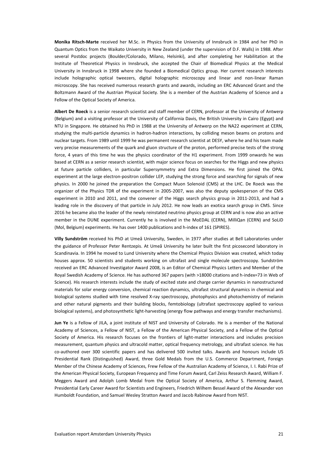**Monika Ritsch-Marte** received her M.Sc. in Physics from the University of Innsbruck in 1984 and her PhD in Quantum Optics from the Waikato University in New Zealand (under the supervision of D.F. Walls) in 1988. After several Postdoc projects (Boulder/Colorado, Milano, Helsinki), and after completing her Habilitation at the Institute of Theoretical Physics in Innsbruck, she accepted the Chair of Biomedical Physics at the Medical University in Innsbruck in 1998 where she founded a Biomedical Optics group. Her current research interests include holographic optical tweezers, digital holographic microscopy and linear and non-linear Raman microscopy. She has received numerous research grants and awards, including an ERC Advanced Grant and the Boltzmann Award of the Austrian Physical Society. She is a member of the Austrian Academy of Science and a Fellow of the Optical Society of America.

**Albert De Roeck** is a senior research scientist and staff member of CERN, professor at the University of Antwerp (Belgium) and a visiting professor at the University of California Davis, the British University in Cairo (Egypt) and NTU in Singapore. He obtained his PhD in 1988 at the University of Antwerp on the NA22 experiment at CERN, studying the multi-particle dynamics in hadron-hadron interactions, by colliding meson beams on protons and nuclear targets. From 1989 until 1999 he was permanent research scientist at DESY, where he and his team made very precise measurements of the quark and gluon structure of the proton, performed precise tests of the strong force, 4 years of this time he was the physics coordinator of the H1 experiment. From 1999 onwards he was based at CERN as a senior research scientist, with major science focus on searches for the Higgs and new physics at future particle colliders, in particular Supersymmetry and Extra Dimensions. He first joined the OPAL experiment at the large electron-positron collider LEP, studying the strong force and searching for signals of new physics. In 2000 he joined the preparation the Compact Muon Solenoid (CMS) at the LHC. De Roeck was the organizer of the Physics TDR of the experiment in 2005-2007, was also the deputy spokesperson of the CMS experiment in 2010 and 2011, and the convener of the Higgs search physics group in 2011-2013, and had a leading role in the discovery of that particle in July 2012. He now leads an exotica search group in CMS. Since 2016 he became also the leader of the newly reinstated neutrino physics group at CERN and is now also an active member in the DUNE experiment. Currently he is involved in the MoEDAL (CERN), MilliQan (CERN) and SoLiD (Mol, Belgium) experiments. He has over 1400 publications and h-index of 161 (SPIRES).

**Villy Sundström** received his PhD at Umeå University, Sweden, in 1977 after studies at Bell Laboratories under the guidance of Professor Peter Rentzepis. At Umeå University he later built the first picosecond laboratory in Scandinavia. In 1994 he moved to Lund University where the Chemical Physics Division was created, which today houses approx. 50 scientists and students working on ultrafast and single molecule spectroscopy. Sundström received an ERC Advanced Investigator Award 2008, is an Editor of Chemical Physics Letters and Member of the Royal Swedish Academy of Science. He has authored 367 papers (with >18000 citations and h-index=73 in Web of Science). His research interests include the study of excited state and charge carrier dynamics in nanostructured materials for solar energy conversion, chemical reaction dynamics, ultrafast structural dynamics in chemical and biological systems studied with time resolved X-ray spectroscopy, photophysics and photochemistry of melanin and other natural pigments and their building blocks, femtobiology (ultrafast spectroscopy applied to various biological systems), and photosynthetic light-harvesting (energy flow pathways and energy transfer mechanisms).

**Jun Ye** is a Fellow of JILA, a joint institute of NIST and University of Colorado. He is a member of the National Academy of Sciences, a Fellow of NIST, a Fellow of the American Physical Society, and a Fellow of the Optical Society of America. His research focuses on the frontiers of light-matter interactions and includes precision measurement, quantum physics and ultracold matter, optical frequency metrology, and ultrafast science. He has co-authored over 300 scientific papers and has delivered 500 invited talks. Awards and honours include US Presidential Rank (Distinguished) Award, three Gold Medals from the U.S. Commerce Department, Foreign Member of the Chinese Academy of Sciences, Frew Fellow of the Australian Academy of Science, I. I. Rabi Prize of the American Physical Society, European Frequency and Time Forum Award, Carl Zeiss Research Award, William F. Meggers Award and Adolph Lomb Medal from the Optical Society of America, Arthur S. Flemming Award, Presidential Early Career Award for Scientists and Engineers, Friedrich Wilhem Bessel Award of the Alexander von Humboldt Foundation, and Samuel Wesley Stratton Award and Jacob Rabinow Award from NIST.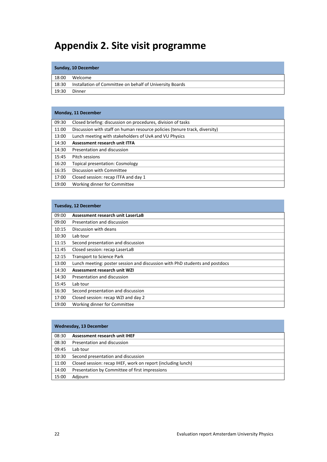# <span id="page-21-0"></span>**Appendix 2. Site visit programme**

#### **Sunday, 10 December**

| 18:00 | Welcome                                                  |
|-------|----------------------------------------------------------|
| 18:30 | Installation of Committee on behalf of University Boards |
| 19:30 | Dinner                                                   |

| Monday, 11 December |                                                                            |  |  |  |  |  |
|---------------------|----------------------------------------------------------------------------|--|--|--|--|--|
| 09:30               | Closed briefing: discussion on procedures, division of tasks               |  |  |  |  |  |
| 11:00               | Discussion with staff on human resource policies (tenure track, diversity) |  |  |  |  |  |
| 13:00               | Lunch meeting with stakeholders of UvA and VU Physics                      |  |  |  |  |  |
| 14:30               | Assessment research unit ITFA                                              |  |  |  |  |  |
| 14:30               | Presentation and discussion                                                |  |  |  |  |  |
| 15:45               | Pitch sessions                                                             |  |  |  |  |  |
| 16:20               | <b>Topical presentation: Cosmology</b>                                     |  |  |  |  |  |
| 16:35               | Discussion with Committee                                                  |  |  |  |  |  |
| 17:00               | Closed session: recap ITFA and day 1                                       |  |  |  |  |  |
| 19:00               | Working dinner for Committee                                               |  |  |  |  |  |

| <b>Tuesday, 12 December</b> |                                                                             |  |  |  |  |
|-----------------------------|-----------------------------------------------------------------------------|--|--|--|--|
| 09:00                       | Assessment research unit LaserLaB                                           |  |  |  |  |
| 09:00                       | Presentation and discussion                                                 |  |  |  |  |
| 10:15                       | Discussion with deans                                                       |  |  |  |  |
| 10:30                       | Lab tour                                                                    |  |  |  |  |
| 11:15                       | Second presentation and discussion                                          |  |  |  |  |
| 11:45                       | Closed session: recap LaserLaB                                              |  |  |  |  |
| 12:15                       | <b>Transport to Science Park</b>                                            |  |  |  |  |
| 13:00                       | Lunch meeting: poster session and discussion with PhD students and postdocs |  |  |  |  |
| 14:30                       | Assessment research unit WZI                                                |  |  |  |  |
| 14:30                       | Presentation and discussion                                                 |  |  |  |  |
| 15:45                       | Lab tour                                                                    |  |  |  |  |
| 16:30                       | Second presentation and discussion                                          |  |  |  |  |
| 17:00                       | Closed session: recap WZI and day 2                                         |  |  |  |  |
| 19:00                       | Working dinner for Committee                                                |  |  |  |  |

| <b>Wednesday, 13 December</b> |                                                              |  |  |  |  |
|-------------------------------|--------------------------------------------------------------|--|--|--|--|
| 08:30                         | Assessment research unit IHEF                                |  |  |  |  |
| 08:30                         | Presentation and discussion                                  |  |  |  |  |
| 09:45                         | Lab tour                                                     |  |  |  |  |
| 10:30                         | Second presentation and discussion                           |  |  |  |  |
| 11:00                         | Closed session: recap IHEF, work on report (including lunch) |  |  |  |  |
| 14:00                         | Presentation by Committee of first impressions               |  |  |  |  |
| 15:00                         | Adjourn                                                      |  |  |  |  |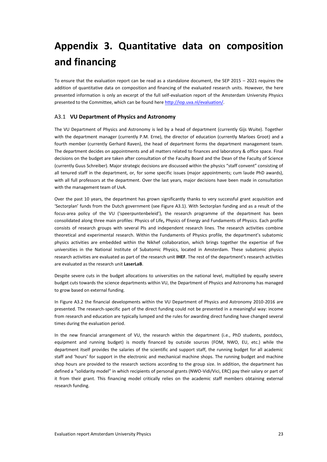# <span id="page-22-0"></span>**Appendix 3. Quantitative data on composition and financing**

To ensure that the evaluation report can be read as a standalone document, the SEP 2015 – 2021 requires the addition of quantitative data on composition and financing of the evaluated research units. However, the here presented information is only an excerpt of the full self-evaluation report of the Amsterdam University Physics presented to the Committee, which can be found her[e http://iop.uva.nl/evaluation/.](http://iop.uva.nl/evaluation/)

#### <span id="page-22-1"></span>A3.1 **VU Department of Physics and Astronomy**

The VU Department of Physics and Astronomy is led by a head of department (currently Gijs Wuite). Together with the department manager (currently P.M. Erne), the director of education (currently Marloes Groot) and a fourth member (currently Gerhard Raven), the head of department forms the department management team. The department decides on appointments and all matters related to finances and laboratory & office space. Final decisions on the budget are taken after consultation of the Faculty Board and the Dean of the Faculty of Science (currently Guus Schreiber). Major strategic decisions are discussed within the physics "staff convent" consisting of all tenured staff in the department, or, for some specific issues (major appointments; cum laude PhD awards), with all full professors at the department. Over the last years, major decisions have been made in consultation with the management team of UvA.

Over the past 10 years, the department has grown significantly thanks to very successful grant acquisition and 'Sectorplan' funds from the Dutch government (see [Figure A3.1\)](#page-23-0). With Sectorplan funding and as a result of the focus-area policy of the VU ('speerpuntenbeleid'), the research programme of the department has been consolidated along three main profiles: Physics of Life**,** Physics of Energy and Fundaments of Physics. Each profile consists of research groups with several PIs and independent research lines. The research activities combine theoretical and experimental research. Within the Fundaments of Physics profile, the department's subatomic physics activities are embedded within the Nikhef collaboration, which brings together the expertise of five universities in the National Institute of Subatomic Physics, located in Amsterdam. These subatomic physics research activities are evaluated as part of the research unit **IHEF**. The rest of the department's research activities are evaluated as the research unit **LaserLaB**.

Despite severe cuts in the budget allocations to universities on the national level, multiplied by equally severe budget cuts towards the science departments within VU, the Department of Physics and Astronomy has managed to grow based on external funding.

In [Figure A3.2](#page-23-1) the financial developments within the VU Department of Physics and Astronomy 2010-2016 are presented. The research-specific part of the direct funding could not be presented in a meaningful way: income from research and education are typically lumped and the rules for awarding direct funding have changed several times during the evaluation period.

In the new financial arrangement of VU, the research within the department (i.e., PhD students, postdocs, equipment and running budget) is mostly financed by outside sources (FOM, NWO, EU, etc.) while the department itself provides the salaries of the scientific and support staff, the running budget for all academic staff and 'hours' for support in the electronic and mechanical machine shops. The running budget and machine shop hours are provided to the research sections according to the group size. In addition, the department has defined a "solidarity model" in which recipients of personal grants (NWO-Vidi/Vici, ERC) pay their salary or part of it from their grant. This financing model critically relies on the academic staff members obtaining external research funding.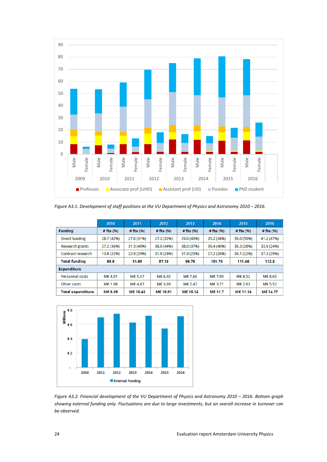

<span id="page-23-0"></span>*Figure A3.1. Development of staff positions at the VU Department of Physics and Astronomy 2010 – 2016.* 

|                          | 2010           | 2011         | 2012           | 2013           | 2014           | 2015        | 2016           |
|--------------------------|----------------|--------------|----------------|----------------|----------------|-------------|----------------|
| <b>Funding</b>           | $#$ fte $(% )$ | $#$ fte $(%$ | $#$ fte $(% )$ | $#$ fte $(% )$ | $#$ fte $(% )$ | # fte (%)   | $#$ fte $(% )$ |
| Direct funding           | 28.7 (42%)     | 27.6 (31%)   | 27.2 (32%)     | 29.0 (40%)     | 35.2 (34%)     | 39.0 (50%)  | 41.2 (47%)     |
| Research grants          | 27.2 (36%)     | 31.3 (40%)   | 38.0 (44%)     | 38.0 (37%)     | 39.4 (40%)     | 36.3 (28%)  | 33.9 (24%)     |
| Contract research        | 13.8 (22%)     | 22.9 (29%)   | 31.9 (24%)     | 31.9 (23%)     | 27.2 (26%)     | 36.1 (22%)  | 37.3 (29%)     |
| <b>Total funding</b>     | 69.6           | 81.69        | 97.13          | 96.76          | 101.78         | 111.46      | 112.3          |
| <b>Expenditure</b>       |                |              |                |                |                |             |                |
| Personnel costs          | M€ 4.91        | M€ 5.57      | M€ 6.92        | M€ 7.66        | M€ 7.99        | M€ 8.52     | M€ 8.65        |
| Other costs              | M€ 1.98        | M€ 4.87      | M€ 3.89        | M€ 2.47        | M€ 3.71        | $M\in 2.63$ | M€ 5.52        |
| <b>Total expenditure</b> | M€ 6.89        | M€ 10.43     | M€ 10.81       | M€ 10.14       | M€ 11.7        | M€ 11.14    | M€ 14.17       |



<span id="page-23-1"></span>*Figure A3.2. Financial development of the VU Department of Physics and Astronomy 2010 – 2016. Bottom graph showing external funding only. Fluctuations are due to large investments, but an overall increase in turnover can be observed.*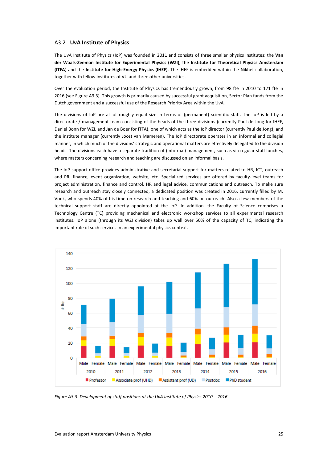#### <span id="page-24-0"></span>A3.2 **UvA Institute of Physics**

The UvA Institute of Physics (IoP) was founded in 2011 and consists of three smaller physics institutes: the **Van der Waals-Zeeman Institute for Experimental Physics (WZI)**, the **Institute for Theoretical Physics Amsterdam (ITFA)** and the **Institute for High-Energy Physics (IHEF)**. The IHEF is embedded within the Nikhef collaboration, together with fellow institutes of VU and three other universities.

Over the evaluation period, the Institute of Physics has tremendously grown, from 98 fte in 2010 to 171 fte in 2016 (see [Figure A3.3\)](#page-24-1). This growth is primarily caused by successful grant acquisition, Sector Plan funds from the Dutch government and a successful use of the Research Priority Area within the UvA.

The divisions of IoP are all of roughly equal size in terms of (permanent) scientific staff. The IoP is led by a directorate / management team consisting of the heads of the three divisions (currently Paul de Jong for IHEF, Daniel Bonn for WZI, and Jan de Boer for ITFA), one of which acts as the IoP director (currently Paul de Jong), and the institute manager (currently Joost van Mameren). The IoP directorate operates in an informal and collegial manner, in which much of the divisions' strategic and operational matters are effectively delegated to the division heads. The divisions each have a separate tradition of (informal) management, such as via regular staff lunches, where matters concerning research and teaching are discussed on an informal basis.

The IoP support office provides administrative and secretarial support for matters related to HR, ICT, outreach and PR, finance, event organization, website, etc. Specialized services are offered by faculty-level teams for project administration, finance and control, HR and legal advice, communications and outreach. To make sure research and outreach stay closely connected, a dedicated position was created in 2016, currently filled by M. Vonk, who spends 40% of his time on research and teaching and 60% on outreach. Also a few members of the technical support staff are directly appointed at the IoP. In addition, the Faculty of Science comprises a Technology Centre (TC) providing mechanical and electronic workshop services to all experimental research institutes. IoP alone (through its WZI division) takes up well over 50% of the capacity of TC, indicating the important role of such services in an experimental physics context.



<span id="page-24-1"></span>*Figure A3.3. Development of staff positions at the UvA Institute of Physics 2010 – 2016.*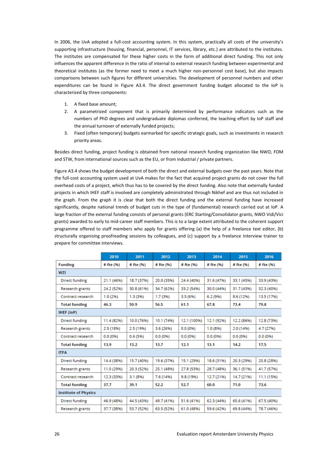In 2006, the UvA adopted a full-cost accounting system. In this system, practically all costs of the university's supporting infrastructure (housing, financial, personnel, IT services, library, etc.) are attributed to the institutes. The institutes are compensated for these higher costs in the form of additional direct funding. This not only influences the apparent difference in the ratio of internal to external research funding between experimental and theoretical institutes (as the former need to meet a much higher non-personnel cost base), but also impacts comparisons between such figures for different universities. The development of personnel numbers and other expenditures can be found in [Figure A3.4.](#page-26-0) The direct government funding budget allocated to the IoP is characterized by three components:

- 1. A fixed base amount;
- 2. A parametrized component that is primarily determined by performance indicators such as the numbers of PhD degrees and undergraduate diplomas conferred, the teaching effort by IoP staff and the annual turnover of externally funded projects;
- 3. Fixed (often temporary) budgets earmarked for specific strategic goals, such as investments in research priority areas.

Besides direct funding, project funding is obtained from national research funding organization like NWO, FOM and STW, from international sources such as the EU, or from industrial / private partners.

[Figure A3.4](#page-26-0) shows the budget development of both the direct and external budgets over the past years. Note that the full-cost accounting system used at UvA makes for the fact that acquired project grants do not cover the full overhead costs of a project, which thus has to be covered by the direct funding. Also note that externally funded projects in which IHEF staff is involved are completely administrated through Nikhef and are thus not included in the graph. From the graph it is clear that both the direct funding and the external funding have increased significantly, despite national trends of budget cuts in the type of (fundamental) research carried out at IoP. A large fraction of the external funding consists of personal grants (ERC Starting/Consolidator grants, NWO Vidi/Vici grants) awarded to early to mid-career staff members. This is to a large extent attributed to the coherent support programme offered to staff members who apply for grants offering (a) the help of a freelance text editor, (b) structurally organising proofreading sessions by colleagues, and (c) support by a freelance interview trainer to prepare for committee interviews.

|                             | 2010       | 2011       | 2012       | 2013        | 2014       | 2015       | 2016       |
|-----------------------------|------------|------------|------------|-------------|------------|------------|------------|
| <b>Funding</b>              | # fte (%)  | # fte (%)  | # fte (%)  | # fte (%)   | # fte (%)  | # fte (%)  | # fte (%)  |
| <b>WZI</b>                  |            |            |            |             |            |            |            |
| Direct funding              | 21.1 (46%) | 18.7 (37%) | 20.0 (35%) | 24.4 (40%)  | 31.6 (47%) | 33.1 (45%) | 33.9 (43%) |
| Research grants             | 24.2 (52%) | 30.8 (61%) | 34.7 (62%) | 33.2 (54%)  | 30.0 (44%) | 31.7 (43%) | 32.3 (40%) |
| Contract research           | 1.0(2%)    | 1.3(3%)    | 1.7(3%)    | 3.5(6%)     | 6.2(9%)    | 8.6 (12%)  | 13.5 (17%) |
| <b>Total funding</b>        | 46.3       | 50.9       | 56.5       | 61.1        | 67.8       | 73.4       | 79.8       |
| IHEF (IoP)                  |            |            |            |             |            |            |            |
| Direct funding              | 11.4 (82%) | 10.0 (76%) | 10.1 (74%) | 12.1 (100%) | 12.1 (92%) | 12.2 (86%) | 12.8 (73%) |
| Research grants             | 2.5 (18%)  | 2.5 (19%)  | 3.6 (26%)  | 0.0(0%      | 1.0(8%)    | 2.0 (14%)  | 4.7 (27%)  |
| Contract research           | 0.0(0%     | 0.6(5%)    | 0.0(0%     | 0.0(0%      | 0.0(0%     | 0.0(0%     | 0.0(0%     |
| <b>Total funding</b>        | 13.9       | 13.2       | 13.7       | 12.1        | 13.1       | 14.2       | 17.5       |
| <b>ITFA</b>                 |            |            |            |             |            |            |            |
| <b>Direct funding</b>       | 14.4 (38%) | 15.7 (40%) | 19.6 (37%) | 15.1 (29%)  | 18.6 (31%) | 20.3 (29%) | 20.8 (28%) |
| Research grants             | 11.0 (29%) | 20.3 (52%) | 25.1 (48%) | 27.8 (53%)  | 28.7 (48%) | 36.1 (51%) | 41.7 (57%) |
| Contract research           | 12.3 (33%) | 3.1(8%)    | 7.6 (14%)  | 9.8 (19%)   | 12.7 (21%) | 14.7 (21%) | 11.1 (15%) |
| <b>Total funding</b>        | 37.7       | 39.1       | 52.2       | 52.7        | 60.0       | 71.0       | 73.6       |
| <b>Institute of Physics</b> |            |            |            |             |            |            |            |
| Direct funding              | 46.9 (48%) | 44.5 (43%) | 49.7 (41%) | 51.6 (41%)  | 62.3 (44%) | 65.6 (41%) | 67.5 (40%) |
| Research grants             | 37.7 (38%) | 53.7 (52%) | 63.5 (52%) | 61.0 (48%)  | 59.6 (42%) | 69.8 (44%) | 78.7 (46%) |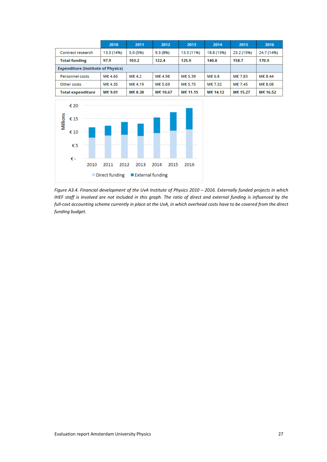|                                           | 2010       | 2011             | 2012     | 2013       | 2014       | 2015       | 2016       |
|-------------------------------------------|------------|------------------|----------|------------|------------|------------|------------|
| Contract research                         | 13.3 (14%) | 5.0 (5%)         | 9.3(8%)  | 13.3 (11%) | 18.8 (13%) | 23.2 (15%) | 24.7 (14%) |
| <b>Total funding</b>                      | 97.9       | 103.2            | 122.4    | 125.9      | 140.8      | 158.7      | 170.9      |
| <b>Expenditure (Institute of Physics)</b> |            |                  |          |            |            |            |            |
| <b>Personnel costs</b>                    | M€ 4.65    | M€ 4.2           | ME 4.98  | M€ 5.39    | M€ 6.8     | M€ 7.83    | M€ 8.44    |
| Other costs                               | M€ 4.35    | $M\epsilon$ 4.19 | M€ 5.69  | M€ 5.75    | M€ 7.32    | M€ 7.45    | M€ 8.08    |
| <b>Total expenditure</b>                  | М€ 9.01    | M€ 8.38          | M€ 10.67 | M€ 11.15   | M€ 14.12   | M€ 15.27   | M€ 16.52   |



<span id="page-26-0"></span>*Figure A3.4. Financial development of the UvA Institute of Physics 2010 – 2016. Externally funded projects in which IHEF staff is involved are not included in this graph. The ratio of direct and external funding is influenced by the full-cost accounting scheme currently in place at the UvA, in which overhead costs have to be covered from the direct funding budget.*